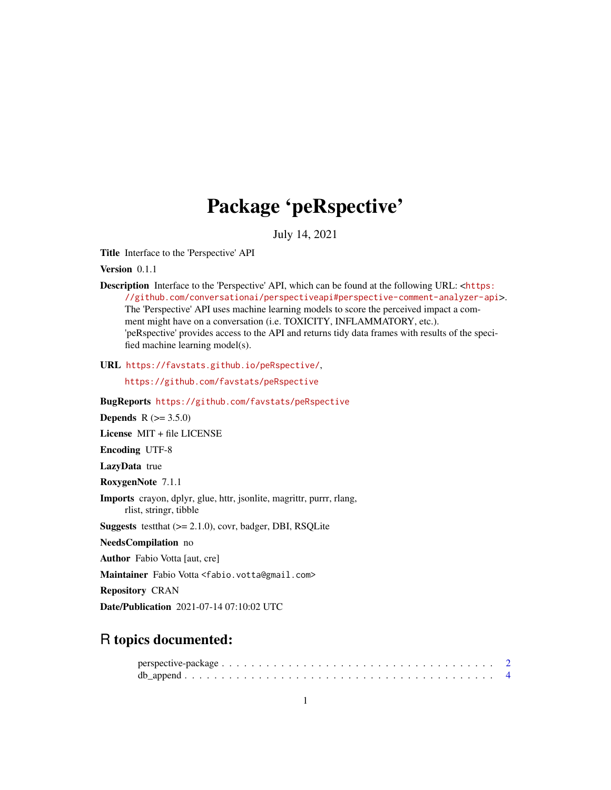## Package 'peRspective'

July 14, 2021

Title Interface to the 'Perspective' API

Version 0.1.1

Description Interface to the 'Perspective' API, which can be found at the following URL: <[https:](https://github.com/conversationai/perspectiveapi#perspective-comment-analyzer-api) [//github.com/conversationai/perspectiveapi#perspective-comment-analyzer-api](https://github.com/conversationai/perspectiveapi#perspective-comment-analyzer-api)>. The 'Perspective' API uses machine learning models to score the perceived impact a comment might have on a conversation (i.e. TOXICITY, INFLAMMATORY, etc.). 'peRspective' provides access to the API and returns tidy data frames with results of the specified machine learning model(s).

URL <https://favstats.github.io/peRspective/>,

<https://github.com/favstats/peRspective>

BugReports <https://github.com/favstats/peRspective>

**Depends**  $R (= 3.5.0)$ 

License MIT + file LICENSE

Encoding UTF-8

LazyData true

RoxygenNote 7.1.1

Imports crayon, dplyr, glue, httr, jsonlite, magrittr, purrr, rlang, rlist, stringr, tibble

**Suggests** test that  $(>= 2.1.0)$ , covr, badger, DBI, RSQLite

NeedsCompilation no

Author Fabio Votta [aut, cre]

Maintainer Fabio Votta <fabio.votta@gmail.com>

Repository CRAN

Date/Publication 2021-07-14 07:10:02 UTC

### R topics documented: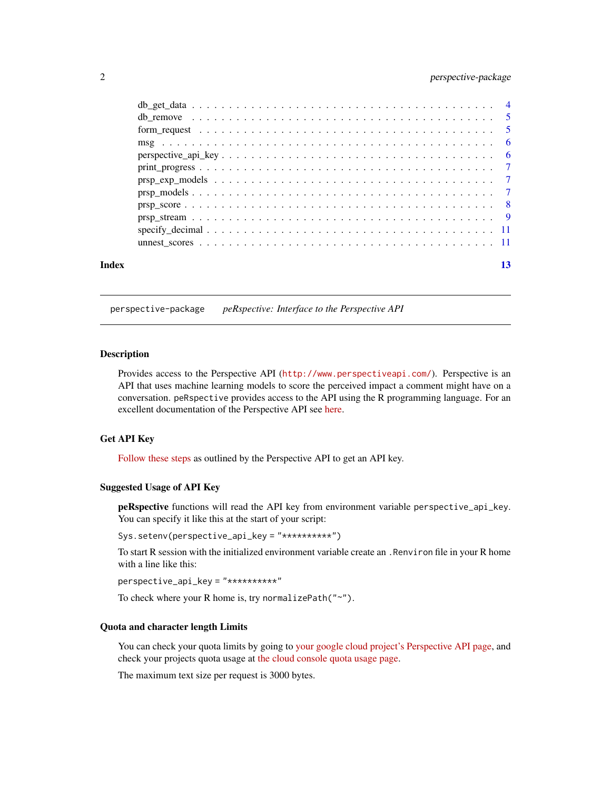#### <span id="page-1-0"></span>2 perspective-package

| Index |  |
|-------|--|
|       |  |
|       |  |
|       |  |
|       |  |
|       |  |
|       |  |
|       |  |
|       |  |
|       |  |
|       |  |
|       |  |
|       |  |

perspective-package *peRspective: Interface to the Perspective API*

#### Description

Provides access to the Perspective API (<http://www.perspectiveapi.com/>). Perspective is an API that uses machine learning models to score the perceived impact a comment might have on a conversation. peRspective provides access to the API using the R programming language. For an excellent documentation of the Perspective API see [here.](https://developers.perspectiveapi.com/s/docs)

#### Get API Key

[Follow these steps](https://developers.perspectiveapi.com/s/docs-get-started) as outlined by the Perspective API to get an API key.

#### Suggested Usage of API Key

peRspective functions will read the API key from environment variable perspective\_api\_key. You can specify it like this at the start of your script:

Sys.setenv(perspective\_api\_key = "\*\*\*\*\*\*\*\*\*\*")

To start R session with the initialized environment variable create an .Renviron file in your R home with a line like this:

perspective\_api\_key = "\*\*\*\*\*\*\*\*\*\*"

To check where your R home is, try normalizePath("~").

#### Quota and character length Limits

You can check your quota limits by going to [your google cloud project's Perspective API page,](https://console.cloud.google.com/apis/api/commentanalyzer.googleapis.com/quotas) and check your projects quota usage at [the cloud console quota usage page.](https://console.cloud.google.com/iam-admin/quotas)

The maximum text size per request is 3000 bytes.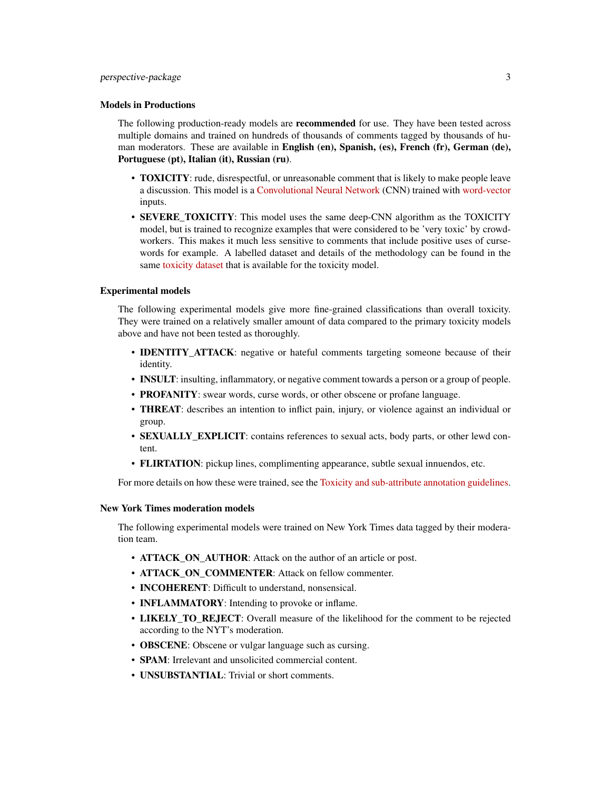#### Models in Productions

The following production-ready models are **recommended** for use. They have been tested across multiple domains and trained on hundreds of thousands of comments tagged by thousands of human moderators. These are available in English (en), Spanish, (es), French (fr), German (de), Portuguese (pt), Italian (it), Russian (ru).

- **TOXICITY**: rude, disrespectful, or unreasonable comment that is likely to make people leave a discussion. This model is a [Convolutional Neural Network](https://en.wikipedia.org/wiki/Convolutional_neural_network) (CNN) trained with [word-vector](https://www.tensorflow.org/tutorials/text/word2vec) inputs.
- SEVERE\_TOXICITY: This model uses the same deep-CNN algorithm as the TOXICITY model, but is trained to recognize examples that were considered to be 'very toxic' by crowdworkers. This makes it much less sensitive to comments that include positive uses of cursewords for example. A labelled dataset and details of the methodology can be found in the same [toxicity dataset](https://figshare.com/articles/dataset/Wikipedia_Talk_Labels_Toxicity/4563973) that is available for the toxicity model.

#### Experimental models

The following experimental models give more fine-grained classifications than overall toxicity. They were trained on a relatively smaller amount of data compared to the primary toxicity models above and have not been tested as thoroughly.

- **IDENTITY ATTACK**: negative or hateful comments targeting someone because of their identity.
- INSULT: insulting, inflammatory, or negative comment towards a person or a group of people.
- PROFANITY: swear words, curse words, or other obscene or profane language.
- THREAT: describes an intention to inflict pain, injury, or violence against an individual or group.
- **SEXUALLY\_EXPLICIT**: contains references to sexual acts, body parts, or other lewd content.
- FLIRTATION: pickup lines, complimenting appearance, subtle sexual innuendos, etc.

For more details on how these were trained, see the [Toxicity and sub-attribute annotation guidelines.](https://github.com/conversationai/conversationai.github.io/blob/master/crowdsourcing_annotation_schemes/toxicity_with_subattributes.md)

#### New York Times moderation models

The following experimental models were trained on New York Times data tagged by their moderation team.

- ATTACK\_ON\_AUTHOR: Attack on the author of an article or post.
- ATTACK ON COMMENTER: Attack on fellow commenter.
- INCOHERENT: Difficult to understand, nonsensical.
- **INFLAMMATORY**: Intending to provoke or inflame.
- LIKELY TO REJECT: Overall measure of the likelihood for the comment to be rejected according to the NYT's moderation.
- OBSCENE: Obscene or vulgar language such as cursing.
- **SPAM**: Irrelevant and unsolicited commercial content.
- **UNSUBSTANTIAL:** Trivial or short comments.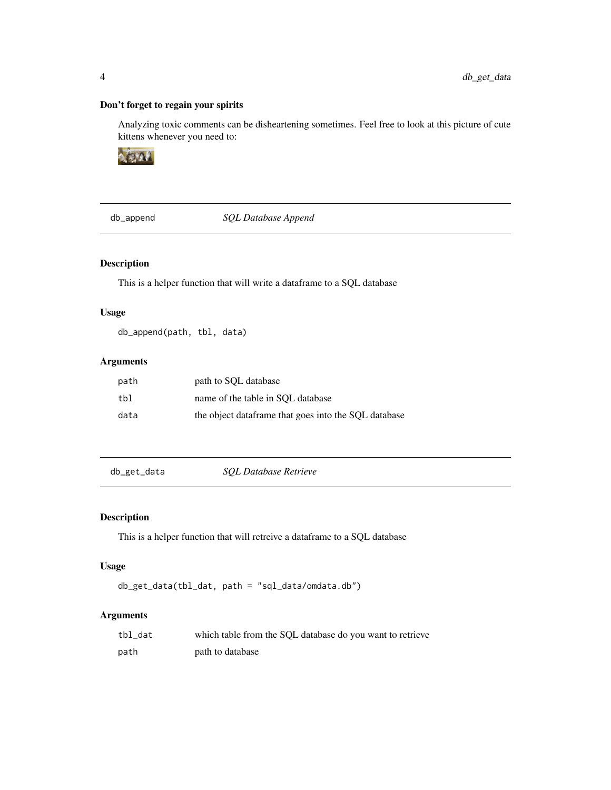#### Don't forget to regain your spirits

Analyzing toxic comments can be disheartening sometimes. Feel free to look at this picture of cute kittens whenever you need to:



db\_append *SQL Database Append*

#### Description

This is a helper function that will write a dataframe to a SQL database

#### Usage

db\_append(path, tbl, data)

#### Arguments

| path | path to SQL database                                  |
|------|-------------------------------------------------------|
| tbl  | name of the table in SOL database                     |
| data | the object data frame that goes into the SOL database |

db\_get\_data *SQL Database Retrieve*

#### Description

This is a helper function that will retreive a dataframe to a SQL database

#### Usage

```
db_get_data(tbl_dat, path = "sql_data/omdata.db")
```
#### Arguments

| tbl dat | which table from the SOL database do you want to retrieve |
|---------|-----------------------------------------------------------|
| path    | path to database                                          |

<span id="page-3-0"></span>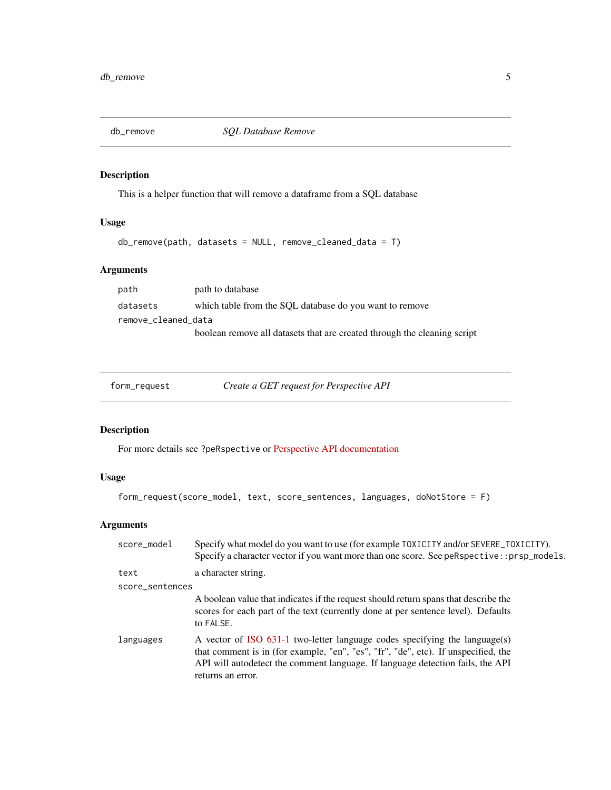<span id="page-4-0"></span>

#### Description

This is a helper function that will remove a dataframe from a SQL database

#### Usage

```
db_remove(path, datasets = NULL, remove_cleaned_data = T)
```
#### Arguments

| path                | path to database                                                         |  |  |  |  |
|---------------------|--------------------------------------------------------------------------|--|--|--|--|
| datasets            | which table from the SQL database do you want to remove                  |  |  |  |  |
| remove_cleaned_data |                                                                          |  |  |  |  |
|                     | boolean remove all datasets that are created through the cleaning script |  |  |  |  |

| form_request | Create a GET request for Perspective API |
|--------------|------------------------------------------|
|              |                                          |

#### Description

For more details see ?peRspective or [Perspective API documentation](https://developers.perspectiveapi.com/s/docs)

#### Usage

form\_request(score\_model, text, score\_sentences, languages, doNotStore = F)

#### Arguments

| score_model     | Specify what model do you want to use (for example TOXICITY and/or SEVERE_TOXICITY).<br>Specify a character vector if you want more than one score. See peRspective::prsp_models.                                                                                       |
|-----------------|-------------------------------------------------------------------------------------------------------------------------------------------------------------------------------------------------------------------------------------------------------------------------|
| text            | a character string.                                                                                                                                                                                                                                                     |
| score_sentences |                                                                                                                                                                                                                                                                         |
|                 | A boolean value that indicates if the request should return spans that describe the<br>scores for each part of the text (currently done at per sentence level). Defaults<br>to FALSE.                                                                                   |
| languages       | A vector of ISO 631-1 two-letter language codes specifying the language(s)<br>that comment is in (for example, "en", "es", "fr", "de", etc). If unspecified, the<br>API will autodetect the comment language. If language detection fails, the API<br>returns an error. |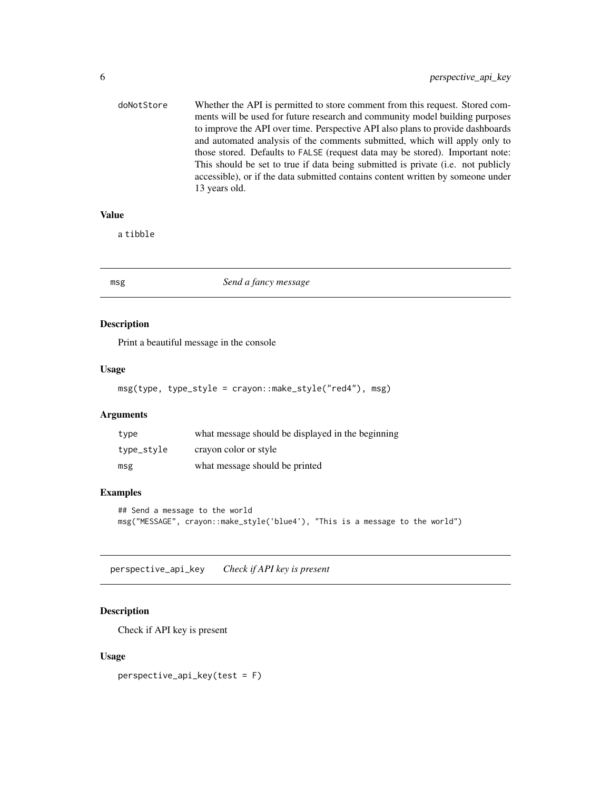<span id="page-5-0"></span>

| doNotStore | Whether the API is permitted to store comment from this request. Stored com-     |
|------------|----------------------------------------------------------------------------------|
|            | ments will be used for future research and community model building purposes     |
|            | to improve the API over time. Perspective API also plans to provide dashboards   |
|            | and automated analysis of the comments submitted, which will apply only to       |
|            | those stored. Defaults to FALSE (request data may be stored). Important note:    |
|            | This should be set to true if data being submitted is private (i.e. not publicly |
|            | accessible), or if the data submitted contains content written by someone under  |
|            | 13 years old.                                                                    |
|            |                                                                                  |

#### Value

a tibble

#### msg *Send a fancy message*

#### Description

Print a beautiful message in the console

#### Usage

msg(type, type\_style = crayon::make\_style("red4"), msg)

#### Arguments

| type       | what message should be displayed in the beginning |
|------------|---------------------------------------------------|
| type_style | crayon color or style                             |
| msg        | what message should be printed                    |

#### Examples

```
## Send a message to the world
msg("MESSAGE", crayon::make_style('blue4'), "This is a message to the world")
```
perspective\_api\_key *Check if API key is present*

#### Description

Check if API key is present

#### Usage

perspective\_api\_key(test = F)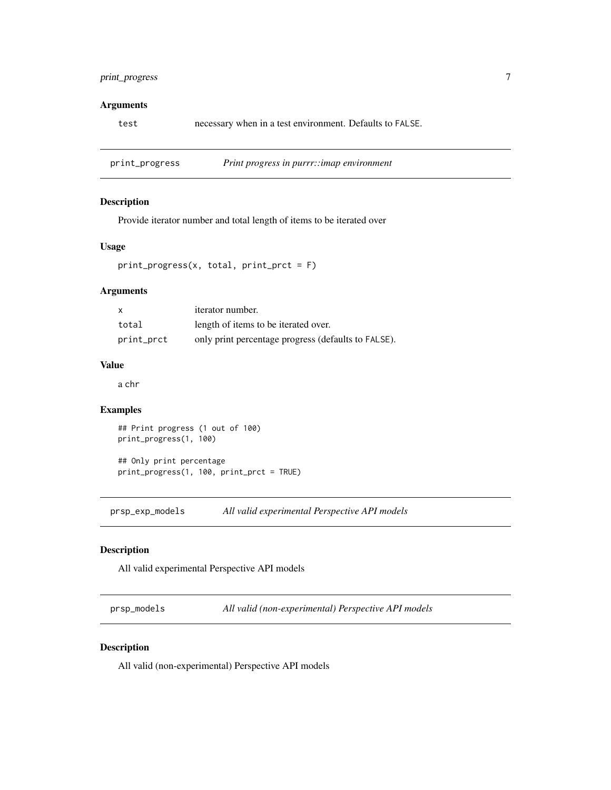#### <span id="page-6-0"></span>print\_progress 7

#### Arguments

test necessary when in a test environment. Defaults to FALSE.

print\_progress *Print progress in purrr::imap environment*

#### Description

Provide iterator number and total length of items to be iterated over

#### Usage

```
print_progress(x, total, print_prct = F)
```
#### Arguments

| $\boldsymbol{\mathsf{x}}$ | <i>iterator number.</i>                             |
|---------------------------|-----------------------------------------------------|
| total                     | length of items to be iterated over.                |
| print_prct                | only print percentage progress (defaults to FALSE). |

#### Value

a chr

#### Examples

## Print progress (1 out of 100) print\_progress(1, 100)

## Only print percentage print\_progress(1, 100, print\_prct = TRUE)

prsp\_exp\_models *All valid experimental Perspective API models*

#### Description

All valid experimental Perspective API models

prsp\_models *All valid (non-experimental) Perspective API models*

#### Description

All valid (non-experimental) Perspective API models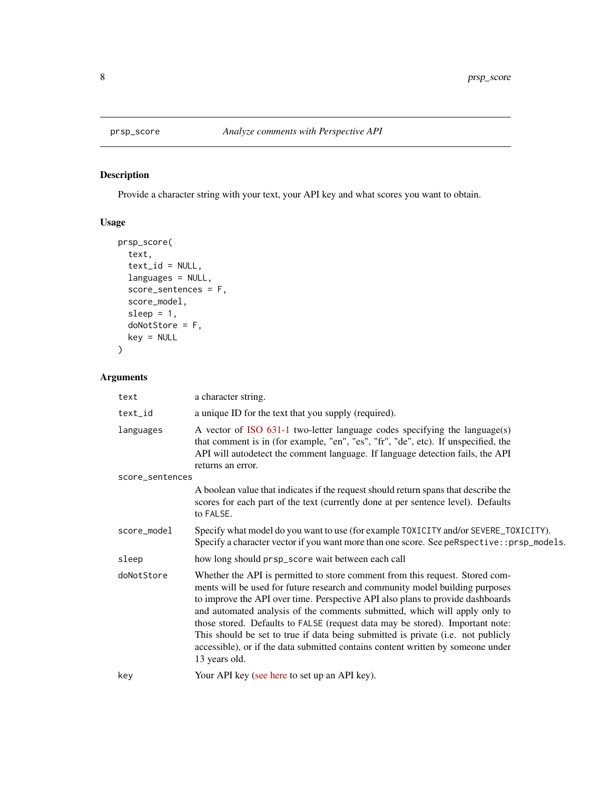<span id="page-7-1"></span><span id="page-7-0"></span>

#### Description

Provide a character string with your text, your API key and what scores you want to obtain.

#### Usage

```
prsp_score(
  text,
  text_id = NULL,languages = NULL,
  score_sentences = F,
  score_model,
  sleep = 1,
  doNotStore = F,
  key = NULL
\mathcal{L}
```
#### Arguments

| text            | a character string.                                                                                                                                                                                                                                                                                                                                                                                                                                                                                                                                                                                   |
|-----------------|-------------------------------------------------------------------------------------------------------------------------------------------------------------------------------------------------------------------------------------------------------------------------------------------------------------------------------------------------------------------------------------------------------------------------------------------------------------------------------------------------------------------------------------------------------------------------------------------------------|
| text_id         | a unique ID for the text that you supply (required).                                                                                                                                                                                                                                                                                                                                                                                                                                                                                                                                                  |
| languages       | A vector of ISO 631-1 two-letter language codes specifying the language(s)<br>that comment is in (for example, "en", "es", "fr", "de", etc). If unspecified, the<br>API will autodetect the comment language. If language detection fails, the API<br>returns an error.                                                                                                                                                                                                                                                                                                                               |
| score_sentences |                                                                                                                                                                                                                                                                                                                                                                                                                                                                                                                                                                                                       |
|                 | A boolean value that indicates if the request should return spans that describe the<br>scores for each part of the text (currently done at per sentence level). Defaults<br>to FALSE.                                                                                                                                                                                                                                                                                                                                                                                                                 |
| score_model     | Specify what model do you want to use (for example TOXICITY and/or SEVERE_TOXICITY).<br>Specify a character vector if you want more than one score. See peRspective::prsp_models.                                                                                                                                                                                                                                                                                                                                                                                                                     |
| sleep           | how long should prsp_score wait between each call                                                                                                                                                                                                                                                                                                                                                                                                                                                                                                                                                     |
| doNotStore      | Whether the API is permitted to store comment from this request. Stored com-<br>ments will be used for future research and community model building purposes<br>to improve the API over time. Perspective API also plans to provide dashboards<br>and automated analysis of the comments submitted, which will apply only to<br>those stored. Defaults to FALSE (request data may be stored). Important note:<br>This should be set to true if data being submitted is private (i.e. not publicly<br>accessible), or if the data submitted contains content written by someone under<br>13 years old. |
| key             | Your API key (see here to set up an API key).                                                                                                                                                                                                                                                                                                                                                                                                                                                                                                                                                         |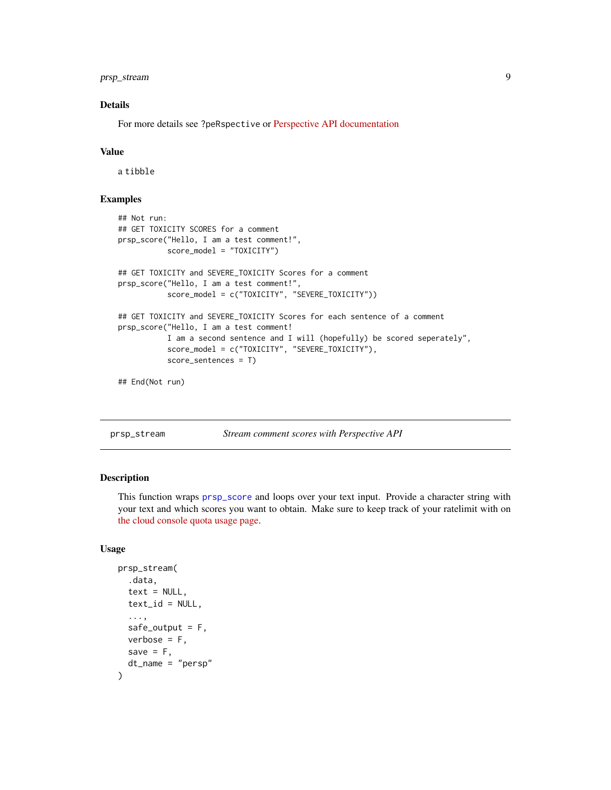<span id="page-8-0"></span>prsp\_stream 9

#### Details

For more details see ?peRspective or [Perspective API documentation](https://developers.perspectiveapi.com/s/docs)

#### Value

a tibble

#### Examples

```
## Not run:
## GET TOXICITY SCORES for a comment
prsp_score("Hello, I am a test comment!",
           score_model = "TOXICITY")
## GET TOXICITY and SEVERE_TOXICITY Scores for a comment
prsp_score("Hello, I am a test comment!",
           score_model = c("TOXICITY", "SEVERE_TOXICITY"))
## GET TOXICITY and SEVERE_TOXICITY Scores for each sentence of a comment
prsp_score("Hello, I am a test comment!
           I am a second sentence and I will (hopefully) be scored seperately",
           score_model = c("TOXICITY", "SEVERE_TOXICITY"),
           score_sentences = T)
```
## End(Not run)

prsp\_stream *Stream comment scores with Perspective API*

#### Description

This function wraps [prsp\\_score](#page-7-1) and loops over your text input. Provide a character string with your text and which scores you want to obtain. Make sure to keep track of your ratelimit with on [the cloud console quota usage page.](https://console.cloud.google.com/iam-admin/quotas)

#### Usage

```
prsp_stream(
  .data,
  text = NULL,text_id = NULL,...,
  safe_output = F,
  verbose = F,
  save = F,
  dt_name = "persp"
)
```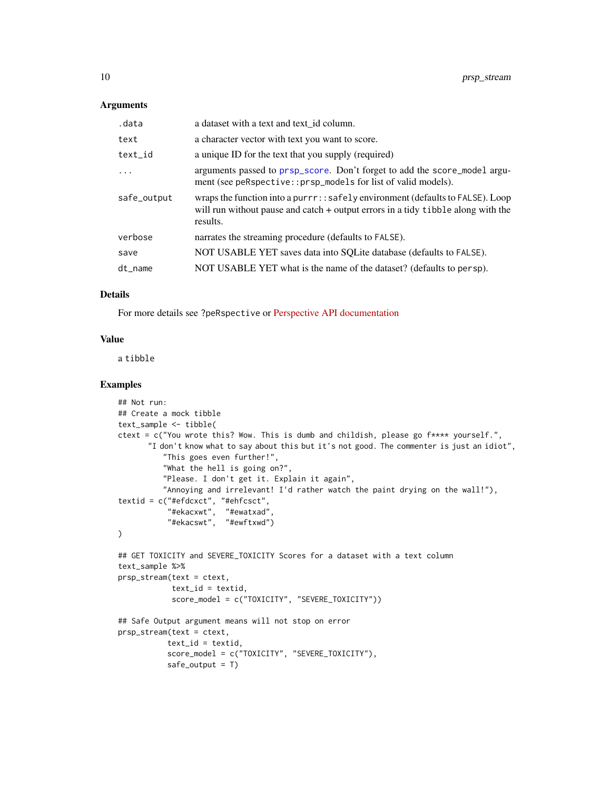#### <span id="page-9-0"></span>Arguments

| .data       | a dataset with a text and text id column.                                                                                                                                         |
|-------------|-----------------------------------------------------------------------------------------------------------------------------------------------------------------------------------|
| text        | a character vector with text you want to score.                                                                                                                                   |
| text_id     | a unique ID for the text that you supply (required)                                                                                                                               |
| $\ddotsc$   | arguments passed to prsp_score. Don't forget to add the score_model argu-<br>ment (see peRspective::prsp_models for list of valid models).                                        |
| safe_output | wraps the function into a purrr: : safely environment (defaults to FALSE). Loop<br>will run without pause and catch $+$ output errors in a tidy tibble along with the<br>results. |
| verbose     | narrates the streaming procedure (defaults to FALSE).                                                                                                                             |
| save        | NOT USABLE YET saves data into SQLite database (defaults to FALSE).                                                                                                               |
| dt name     | NOT USABLE YET what is the name of the dataset? (defaults to persp).                                                                                                              |
|             |                                                                                                                                                                                   |

#### Details

For more details see ?peRspective or [Perspective API documentation](https://developers.perspectiveapi.com/s/docs)

#### Value

a tibble

#### Examples

```
## Not run:
## Create a mock tibble
text_sample <- tibble(
ctext = c("You wrote this? Wow. This is dumb and childish, please go f**** yourself.",
       "I don't know what to say about this but it's not good. The commenter is just an idiot",
          "This goes even further!",
          "What the hell is going on?",
          "Please. I don't get it. Explain it again",
          "Annoying and irrelevant! I'd rather watch the paint drying on the wall!"),
textid = c("#efdcxct", "#ehfcsct",
           "#ekacxwt", "#ewatxad",
           "#ekacswt", "#ewftxwd")
\lambda## GET TOXICITY and SEVERE_TOXICITY Scores for a dataset with a text column
text_sample %>%
prsp_stream(text = ctext,
            text_id = textid,score_model = c("TOXICITY", "SEVERE_TOXICITY"))
## Safe Output argument means will not stop on error
prsp_stream(text = ctext,
           text_id = textid,score_model = c("TOXICITY", "SEVERE_TOXICITY"),
           safe\_output = T)
```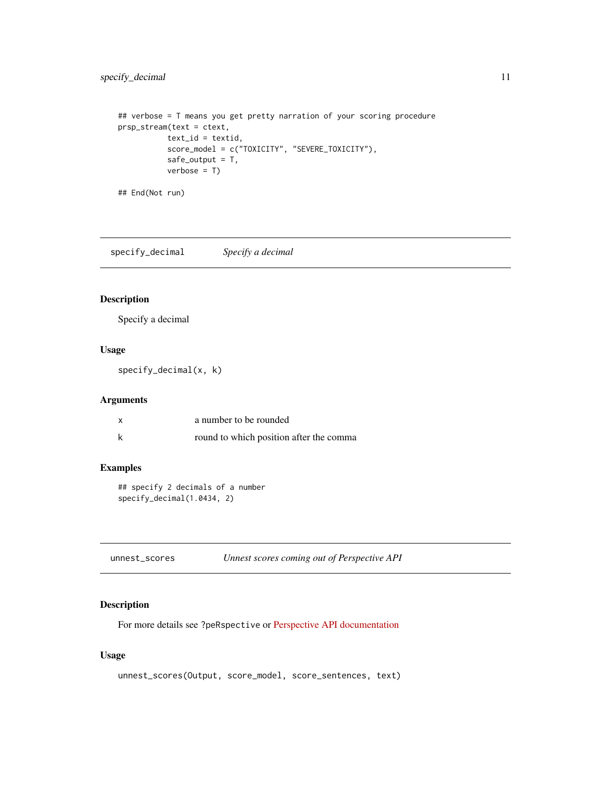#### <span id="page-10-0"></span>specify\_decimal 11

```
## verbose = T means you get pretty narration of your scoring procedure
prsp_stream(text = ctext,
          text_id = textid,
           score_model = c("TOXICITY", "SEVERE_TOXICITY"),
           safe_output = T,
          verbose = T)
```
## End(Not run)

specify\_decimal *Specify a decimal*

#### Description

Specify a decimal

#### Usage

specify\_decimal(x, k)

#### Arguments

| x | a number to be rounded                  |
|---|-----------------------------------------|
|   | round to which position after the comma |

#### Examples

```
## specify 2 decimals of a number
specify_decimal(1.0434, 2)
```

| unnest_scores |  | Unnest scores coming out of Perspective API |
|---------------|--|---------------------------------------------|
|---------------|--|---------------------------------------------|

#### Description

For more details see ?peRspective or [Perspective API documentation](https://developers.perspectiveapi.com/s/docs)

#### Usage

```
unnest_scores(Output, score_model, score_sentences, text)
```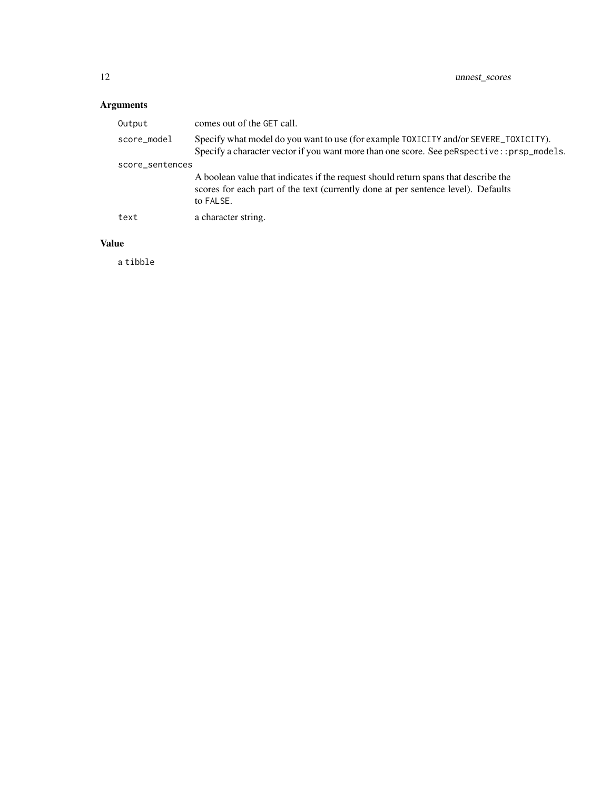### Arguments

| Output          | comes out of the GET call.                                                                                                                                                            |
|-----------------|---------------------------------------------------------------------------------------------------------------------------------------------------------------------------------------|
| score_model     | Specify what model do you want to use (for example TOXICITY and/or SEVERE_TOXICITY).<br>Specify a character vector if you want more than one score. See peRspective::prsp_models.     |
| score_sentences |                                                                                                                                                                                       |
|                 | A boolean value that indicates if the request should return spans that describe the<br>scores for each part of the text (currently done at per sentence level). Defaults<br>to FALSE. |
| text            | a character string.                                                                                                                                                                   |

#### Value

a tibble